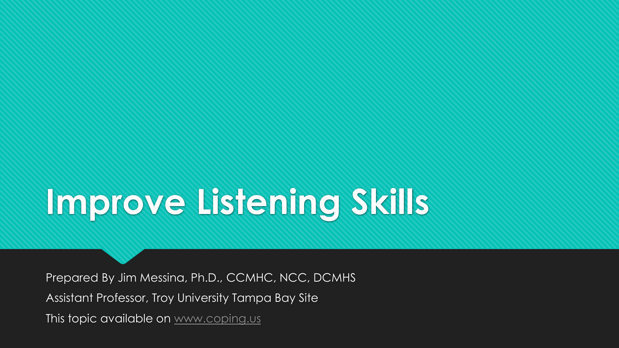# **Improve Listening Skills**

Prepared By Jim Messina, Ph.D., CCMHC, NCC, DCMHS Assistant Professor, Troy University Tampa Bay Site This topic available on [www.coping.us](http://www.coping.us/)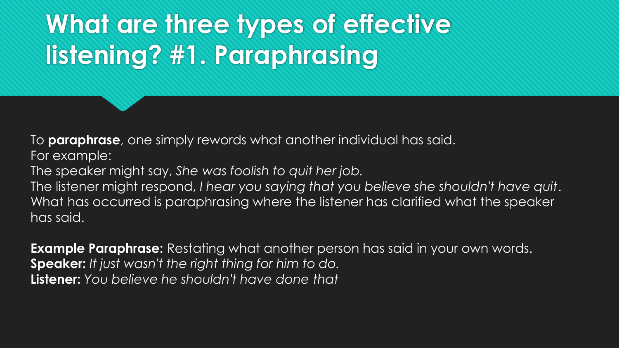# **What are three types of effective listening? #1. Paraphrasing**

To **paraphrase**, one simply rewords what another individual has said.

For example:

The speaker might say, *She was foolish to quit her job.*

The listener might respond, *I hear you saying that you believe she shouldn't have quit*. What has occurred is paraphrasing where the listener has clarified what the speaker has said.

**Example Paraphrase:** Restating what another person has said in your own words. **Speaker:** *It just wasn't the right thing for him to do.* **Listener:** *You believe he shouldn't have done that*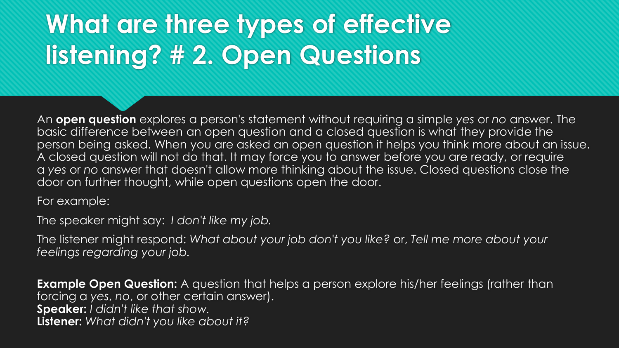## **What are three types of effective listening? # 2. Open Questions**

An **open question** explores a person's statement without requiring a simple *yes* or *no* answer. The basic difference between an open question and a closed question is what they provide the person being asked. When you are asked an open question it helps you think more about an issue. A closed question will not do that. It may force you to answer before you are ready, or require a *yes* or *no* answer that doesn't allow more thinking about the issue. Closed questions close the door on further thought, while open questions open the door.

For example:

The speaker might say: *I don't like my job.*

The listener might respond: *What about your job don't you like?* or, *Tell me more about your feelings regarding your job.*

**Example Open Question:** A question that helps a person explore his/her feelings (rather than forcing a *yes*, *no*, or other certain answer). **Speaker:** *I didn't like that show.* **Listener:** *What didn't you like about it?*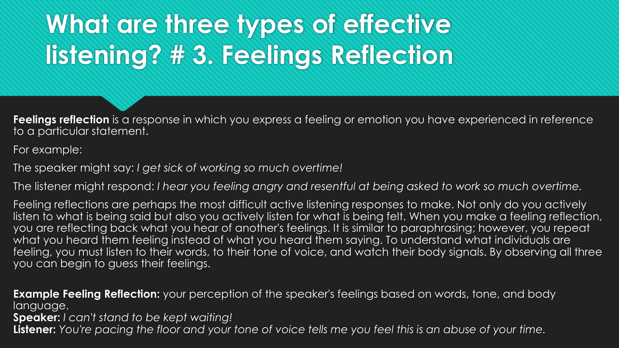# **What are three types of effective listening? # 3. Feelings Reflection**

**Feelings reflection** is a response in which you express a feeling or emotion you have experienced in reference to a particular statement.

For example:

The speaker might say: *I get sick of working so much overtime!*

The listener might respond: *I hear you feeling angry and resentful at being asked to work so much overtime.*

Feeling reflections are perhaps the most difficult active listening responses to make. Not only do you actively listen to what is being said but also you actively listen for what is being felt. When you make a feeling reflection, you are reflecting back what you hear of another's feelings. It is similar to paraphrasing; however, you repeat what you heard them feeling instead of what you heard them saying. To understand what individuals are feeling, you must listen to their words, to their tone of voice, and watch their body signals. By observing all three you can begin to guess their feelings.

**Example Feeling Reflection:** your perception of the speaker's feelings based on words, tone, and body language.

**Speaker:** *I can't stand to be kept waiting!*

**Listener:** *You're pacing the floor and your tone of voice tells me you feel this is an abuse of your time.*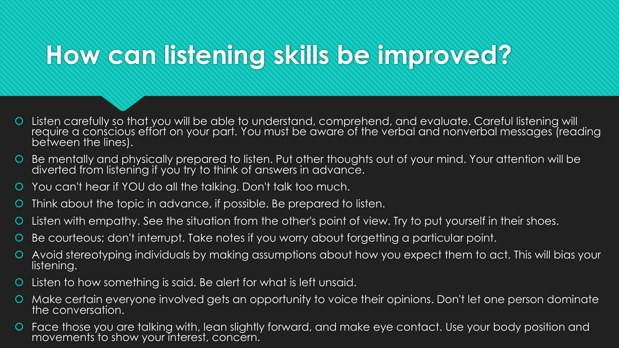### **How can listening skills be improved?**

- Listen carefully so that you will be able to understand, comprehend, and evaluate. Careful listening will require a conscious effort on your part. You must be aware of the verbal and nonverbal messages (reading between the lines).
- Be mentally and physically prepared to listen. Put other thoughts out of your mind. Your attention will be diverted from listening if you try to think of answers in advance.
- You can't hear if YOU do all the talking. Don't talk too much.
- Think about the topic in advance, if possible. Be prepared to listen.
- Listen with empathy. See the situation from the other's point of view. Try to put yourself in their shoes.
- Be courteous; don't interrupt. Take notes if you worry about forgetting a particular point.
- Avoid stereotyping individuals by making assumptions about how you expect them to act. This will bias your listening.
- Listen to how something is said. Be alert for what is left unsaid.
- Make certain everyone involved gets an opportunity to voice their opinions. Don't let one person dominate the conversation.
- Face those you are talking with, lean slightly forward, and make eye contact. Use your body position and movements to show your interest, concern.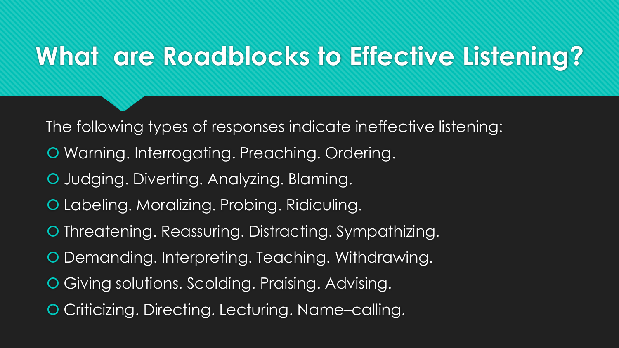#### **What are Roadblocks to Effective Listening?**

The following types of responses indicate ineffective listening:

- Warning. Interrogating. Preaching. Ordering.
- **O** Judging. Diverting. Analyzing. Blaming.
- Labeling. Moralizing. Probing. Ridiculing.
- **O** Threatening. Reassuring. Distracting. Sympathizing.
- Demanding. Interpreting. Teaching. Withdrawing.
- Giving solutions. Scolding. Praising. Advising.
- Criticizing. Directing. Lecturing. Name–calling.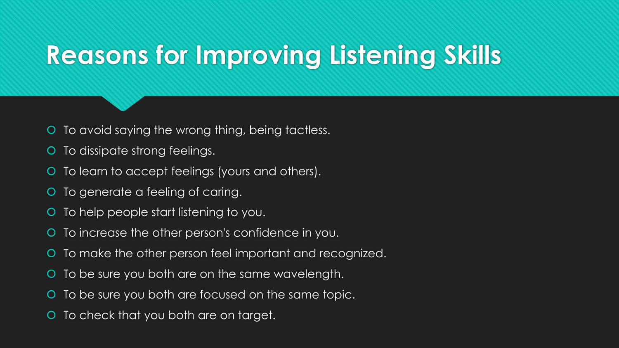## **Reasons for Improving Listening Skills**

- O To avoid saying the wrong thing, being tactless.
- O To dissipate strong feelings.
- O To learn to accept feelings (yours and others).
- O To generate a feeling of caring.
- O To help people start listening to you.
- O To increase the other person's confidence in you.
- O To make the other person feel important and recognized.
- O To be sure you both are on the same wavelength.
- To be sure you both are focused on the same topic.
- To check that you both are on target.